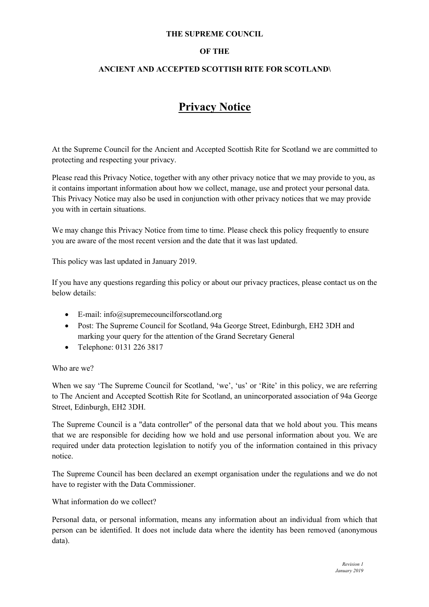### **THE SUPREME COUNCIL**

# **OF THE**

# **ANCIENT AND ACCEPTED SCOTTISH RITE FOR SCOTLAND\**

# **Privacy Notice**

At the Supreme Council for the Ancient and Accepted Scottish Rite for Scotland we are committed to protecting and respecting your privacy.

Please read this Privacy Notice, together with any other privacy notice that we may provide to you, as it contains important information about how we collect, manage, use and protect your personal data. This Privacy Notice may also be used in conjunction with other privacy notices that we may provide you with in certain situations.

We may change this Privacy Notice from time to time. Please check this policy frequently to ensure you are aware of the most recent version and the date that it was last updated.

This policy was last updated in January 2019.

If you have any questions regarding this policy or about our privacy practices, please contact us on the below details:

- E-mail: info@supremecouncilforscotland.org
- Post: The Supreme Council for Scotland, 94a George Street, Edinburgh, EH2 3DH and marking your query for the attention of the Grand Secretary General
- Telephone: 0131 226 3817

#### Who are we?

When we say 'The Supreme Council for Scotland, 'we', 'us' or 'Rite' in this policy, we are referring to The Ancient and Accepted Scottish Rite for Scotland, an unincorporated association of 94a George Street, Edinburgh, EH2 3DH.

The Supreme Council is a "data controller" of the personal data that we hold about you. This means that we are responsible for deciding how we hold and use personal information about you. We are required under data protection legislation to notify you of the information contained in this privacy notice.

The Supreme Council has been declared an exempt organisation under the regulations and we do not have to register with the Data Commissioner.

#### What information do we collect?

Personal data, or personal information, means any information about an individual from which that person can be identified. It does not include data where the identity has been removed (anonymous data).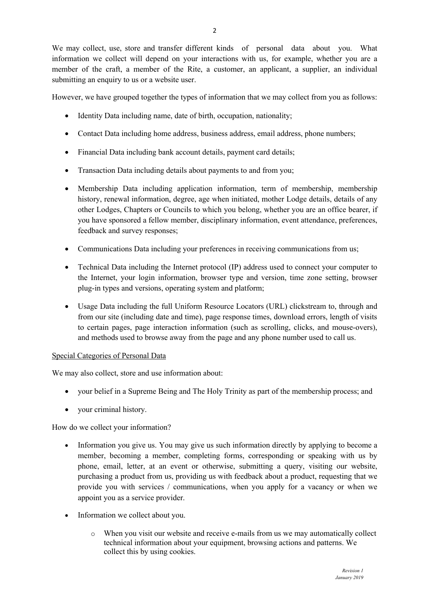We may collect, use, store and transfer different kinds of personal data about you. What information we collect will depend on your interactions with us, for example, whether you are a member of the craft, a member of the Rite, a customer, an applicant, a supplier, an individual submitting an enquiry to us or a website user.

However, we have grouped together the types of information that we may collect from you as follows:

- Identity Data including name, date of birth, occupation, nationality;
- Contact Data including home address, business address, email address, phone numbers;
- Financial Data including bank account details, payment card details;
- Transaction Data including details about payments to and from you;
- Membership Data including application information, term of membership, membership history, renewal information, degree, age when initiated, mother Lodge details, details of any other Lodges, Chapters or Councils to which you belong, whether you are an office bearer, if you have sponsored a fellow member, disciplinary information, event attendance, preferences, feedback and survey responses;
- Communications Data including your preferences in receiving communications from us;
- Technical Data including the Internet protocol (IP) address used to connect your computer to the Internet, your login information, browser type and version, time zone setting, browser plug-in types and versions, operating system and platform;
- Usage Data including the full Uniform Resource Locators (URL) clickstream to, through and from our site (including date and time), page response times, download errors, length of visits to certain pages, page interaction information (such as scrolling, clicks, and mouse-overs), and methods used to browse away from the page and any phone number used to call us.

#### Special Categories of Personal Data

We may also collect, store and use information about:

- your belief in a Supreme Being and The Holy Trinity as part of the membership process; and
- your criminal history.

How do we collect your information?

- Information you give us. You may give us such information directly by applying to become a member, becoming a member, completing forms, corresponding or speaking with us by phone, email, letter, at an event or otherwise, submitting a query, visiting our website, purchasing a product from us, providing us with feedback about a product, requesting that we provide you with services / communications, when you apply for a vacancy or when we appoint you as a service provider.
- Information we collect about you.
	- o When you visit our website and receive e-mails from us we may automatically collect technical information about your equipment, browsing actions and patterns. We collect this by using cookies.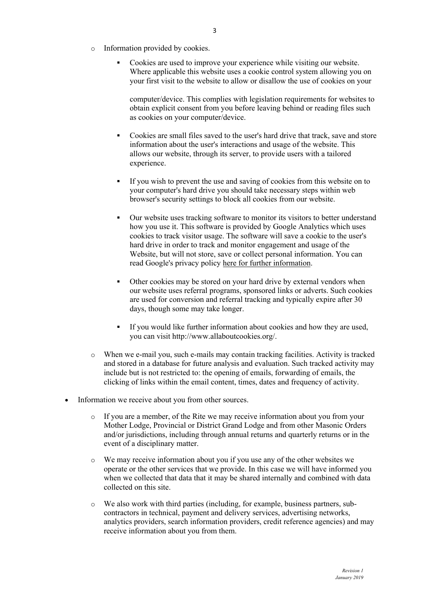- o Information provided by cookies.
	- § Cookies are used to improve your experience while visiting our website. Where applicable this website uses a cookie control system allowing you on your first visit to the website to allow or disallow the use of cookies on your

computer/device. This complies with legislation requirements for websites to obtain explicit consent from you before leaving behind or reading files such as cookies on your computer/device.

- § Cookies are small files saved to the user's hard drive that track, save and store information about the user's interactions and usage of the website. This allows our website, through its server, to provide users with a tailored experience.
- § If you wish to prevent the use and saving of cookies from this website on to your computer's hard drive you should take necessary steps within web browser's security settings to block all cookies from our website.
- § Our website uses tracking software to monitor its visitors to better understand how you use it. This software is provided by Google Analytics which uses cookies to track visitor usage. The software will save a cookie to the user's hard drive in order to track and monitor engagement and usage of the Website, but will not store, save or collect personal information. You can read Google's privacy policy here for further information.
- Other cookies may be stored on your hard drive by external vendors when our website uses referral programs, sponsored links or adverts. Such cookies are used for conversion and referral tracking and typically expire after 30 days, though some may take longer.
- **•** If you would like further information about cookies and how they are used, you can visit http://www.allaboutcookies.org/.
- o When we e-mail you, such e-mails may contain tracking facilities. Activity is tracked and stored in a database for future analysis and evaluation. Such tracked activity may include but is not restricted to: the opening of emails, forwarding of emails, the clicking of links within the email content, times, dates and frequency of activity.
- Information we receive about you from other sources.
	- $\circ$  If you are a member, of the Rite we may receive information about you from your Mother Lodge, Provincial or District Grand Lodge and from other Masonic Orders and/or jurisdictions, including through annual returns and quarterly returns or in the event of a disciplinary matter.
	- o We may receive information about you if you use any of the other websites we operate or the other services that we provide. In this case we will have informed you when we collected that data that it may be shared internally and combined with data collected on this site.
	- o We also work with third parties (including, for example, business partners, subcontractors in technical, payment and delivery services, advertising networks, analytics providers, search information providers, credit reference agencies) and may receive information about you from them.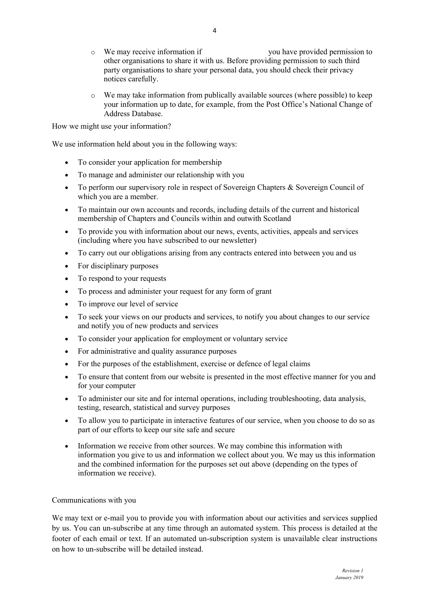- o We may receive information if you have provided permission to other organisations to share it with us. Before providing permission to such third party organisations to share your personal data, you should check their privacy notices carefully.
- $\circ$  We may take information from publically available sources (where possible) to keep your information up to date, for example, from the Post Office's National Change of Address Database.

How we might use your information?

We use information held about you in the following ways:

- To consider your application for membership
- To manage and administer our relationship with you
- To perform our supervisory role in respect of Sovereign Chapters & Sovereign Council of which you are a member.
- To maintain our own accounts and records, including details of the current and historical membership of Chapters and Councils within and outwith Scotland
- To provide you with information about our news, events, activities, appeals and services (including where you have subscribed to our newsletter)
- To carry out our obligations arising from any contracts entered into between you and us
- For disciplinary purposes
- To respond to your requests
- To process and administer your request for any form of grant
- To improve our level of service
- To seek your views on our products and services, to notify you about changes to our service and notify you of new products and services
- To consider your application for employment or voluntary service
- For administrative and quality assurance purposes
- For the purposes of the establishment, exercise or defence of legal claims
- To ensure that content from our website is presented in the most effective manner for you and for your computer
- To administer our site and for internal operations, including troubleshooting, data analysis, testing, research, statistical and survey purposes
- To allow you to participate in interactive features of our service, when you choose to do so as part of our efforts to keep our site safe and secure
- Information we receive from other sources. We may combine this information with information you give to us and information we collect about you. We may us this information and the combined information for the purposes set out above (depending on the types of information we receive).

#### Communications with you

We may text or e-mail you to provide you with information about our activities and services supplied by us. You can un-subscribe at any time through an automated system. This process is detailed at the footer of each email or text. If an automated un-subscription system is unavailable clear instructions on how to un-subscribe will be detailed instead.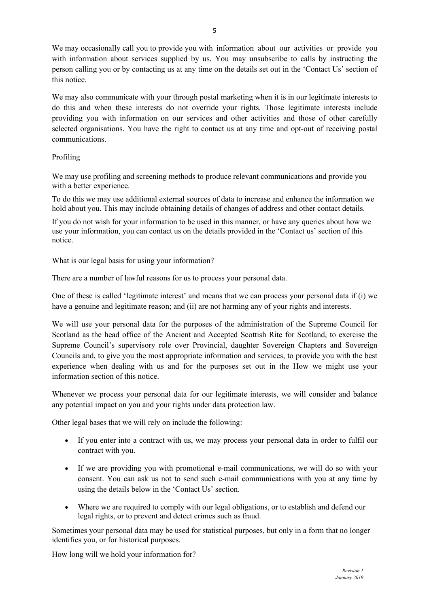We may occasionally call you to provide you with information about our activities or provide you with information about services supplied by us. You may unsubscribe to calls by instructing the person calling you or by contacting us at any time on the details set out in the 'Contact Us' section of this notice.

We may also communicate with your through postal marketing when it is in our legitimate interests to do this and when these interests do not override your rights. Those legitimate interests include providing you with information on our services and other activities and those of other carefully selected organisations. You have the right to contact us at any time and opt-out of receiving postal communications.

## Profiling

We may use profiling and screening methods to produce relevant communications and provide you with a better experience.

To do this we may use additional external sources of data to increase and enhance the information we hold about you. This may include obtaining details of changes of address and other contact details.

If you do not wish for your information to be used in this manner, or have any queries about how we use your information, you can contact us on the details provided in the 'Contact us' section of this notice.

What is our legal basis for using your information?

There are a number of lawful reasons for us to process your personal data.

One of these is called 'legitimate interest' and means that we can process your personal data if (i) we have a genuine and legitimate reason; and (ii) are not harming any of your rights and interests.

We will use your personal data for the purposes of the administration of the Supreme Council for Scotland as the head office of the Ancient and Accepted Scottish Rite for Scotland, to exercise the Supreme Council's supervisory role over Provincial, daughter Sovereign Chapters and Sovereign Councils and, to give you the most appropriate information and services, to provide you with the best experience when dealing with us and for the purposes set out in the How we might use your information section of this notice.

Whenever we process your personal data for our legitimate interests, we will consider and balance any potential impact on you and your rights under data protection law.

Other legal bases that we will rely on include the following:

- If you enter into a contract with us, we may process your personal data in order to fulfil our contract with you.
- If we are providing you with promotional e-mail communications, we will do so with your consent. You can ask us not to send such e-mail communications with you at any time by using the details below in the 'Contact Us' section.
- Where we are required to comply with our legal obligations, or to establish and defend our legal rights, or to prevent and detect crimes such as fraud.

Sometimes your personal data may be used for statistical purposes, but only in a form that no longer identifies you, or for historical purposes.

How long will we hold your information for?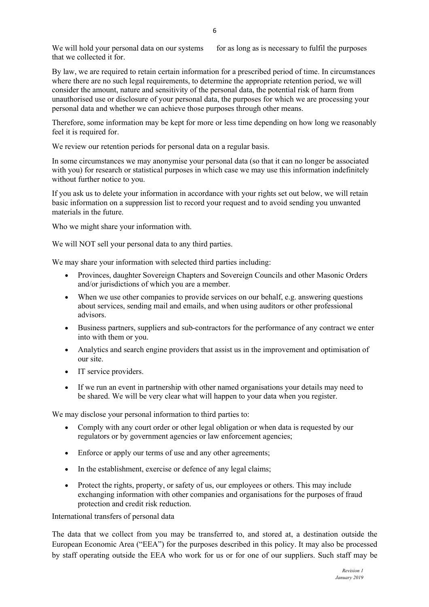We will hold your personal data on our systems for as long as is necessary to fulfil the purposes that we collected it for.

By law, we are required to retain certain information for a prescribed period of time. In circumstances where there are no such legal requirements, to determine the appropriate retention period, we will consider the amount, nature and sensitivity of the personal data, the potential risk of harm from unauthorised use or disclosure of your personal data, the purposes for which we are processing your personal data and whether we can achieve those purposes through other means.

Therefore, some information may be kept for more or less time depending on how long we reasonably feel it is required for.

We review our retention periods for personal data on a regular basis.

In some circumstances we may anonymise your personal data (so that it can no longer be associated with you) for research or statistical purposes in which case we may use this information indefinitely without further notice to you.

If you ask us to delete your information in accordance with your rights set out below, we will retain basic information on a suppression list to record your request and to avoid sending you unwanted materials in the future.

Who we might share your information with.

We will NOT sell your personal data to any third parties.

We may share your information with selected third parties including:

- Provinces, daughter Sovereign Chapters and Sovereign Councils and other Masonic Orders and/or jurisdictions of which you are a member.
- When we use other companies to provide services on our behalf, e.g. answering questions about services, sending mail and emails, and when using auditors or other professional advisors.
- Business partners, suppliers and sub-contractors for the performance of any contract we enter into with them or you.
- Analytics and search engine providers that assist us in the improvement and optimisation of our site.
- IT service providers.
- If we run an event in partnership with other named organisations your details may need to be shared. We will be very clear what will happen to your data when you register.

We may disclose your personal information to third parties to:

- Comply with any court order or other legal obligation or when data is requested by our regulators or by government agencies or law enforcement agencies;
- Enforce or apply our terms of use and any other agreements;
- In the establishment, exercise or defence of any legal claims;
- Protect the rights, property, or safety of us, our employees or others. This may include exchanging information with other companies and organisations for the purposes of fraud protection and credit risk reduction.

International transfers of personal data

The data that we collect from you may be transferred to, and stored at, a destination outside the European Economic Area ("EEA") for the purposes described in this policy. It may also be processed by staff operating outside the EEA who work for us or for one of our suppliers. Such staff may be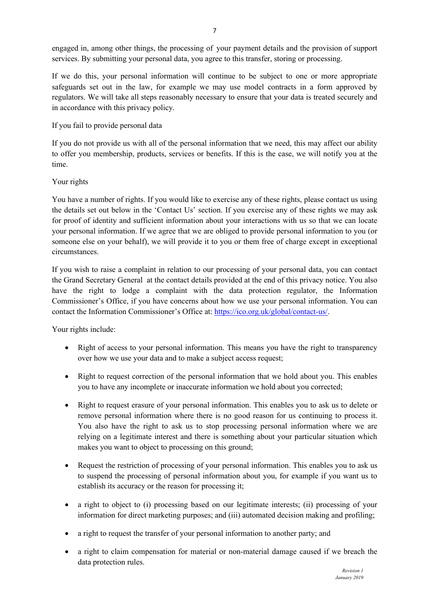engaged in, among other things, the processing of your payment details and the provision of support services. By submitting your personal data, you agree to this transfer, storing or processing.

If we do this, your personal information will continue to be subject to one or more appropriate safeguards set out in the law, for example we may use model contracts in a form approved by regulators. We will take all steps reasonably necessary to ensure that your data is treated securely and in accordance with this privacy policy.

# If you fail to provide personal data

If you do not provide us with all of the personal information that we need, this may affect our ability to offer you membership, products, services or benefits. If this is the case, we will notify you at the time.

# Your rights

You have a number of rights. If you would like to exercise any of these rights, please contact us using the details set out below in the 'Contact Us' section. If you exercise any of these rights we may ask for proof of identity and sufficient information about your interactions with us so that we can locate your personal information. If we agree that we are obliged to provide personal information to you (or someone else on your behalf), we will provide it to you or them free of charge except in exceptional circumstances.

If you wish to raise a complaint in relation to our processing of your personal data, you can contact the Grand Secretary General at the contact details provided at the end of this privacy notice. You also have the right to lodge a complaint with the data protection regulator, the Information Commissioner's Office, if you have concerns about how we use your personal information. You can contact the Information Commissioner's Office at: https://ico.org.uk/global/contact-us/.

Your rights include:

- Right of access to your personal information. This means you have the right to transparency over how we use your data and to make a subject access request;
- Right to request correction of the personal information that we hold about you. This enables you to have any incomplete or inaccurate information we hold about you corrected;
- Right to request erasure of your personal information. This enables you to ask us to delete or remove personal information where there is no good reason for us continuing to process it. You also have the right to ask us to stop processing personal information where we are relying on a legitimate interest and there is something about your particular situation which makes you want to object to processing on this ground;
- Request the restriction of processing of your personal information. This enables you to ask us to suspend the processing of personal information about you, for example if you want us to establish its accuracy or the reason for processing it;
- a right to object to (i) processing based on our legitimate interests; (ii) processing of your information for direct marketing purposes; and (iii) automated decision making and profiling;
- a right to request the transfer of your personal information to another party; and
- a right to claim compensation for material or non-material damage caused if we breach the data protection rules.